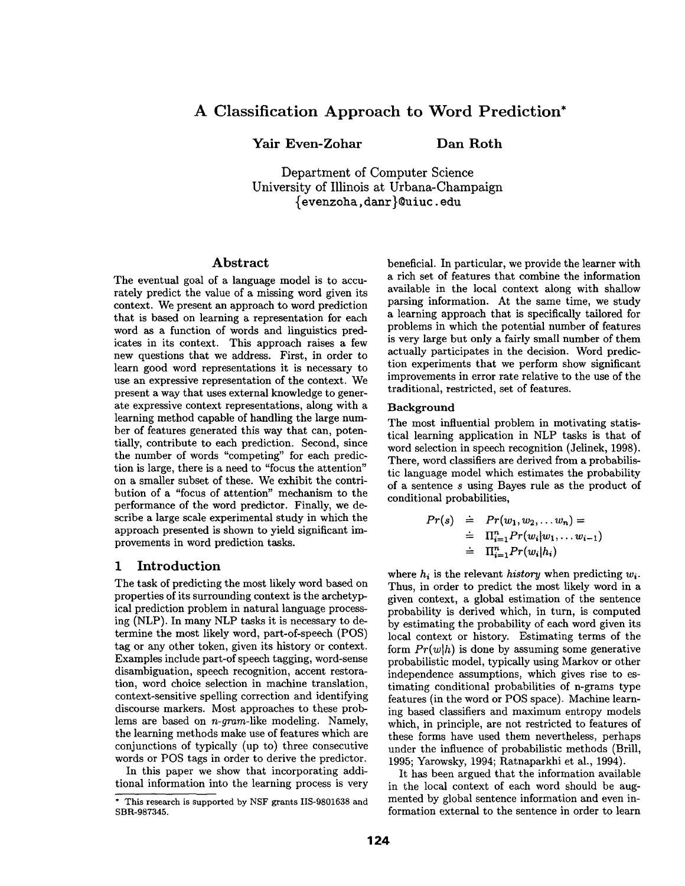# **A Classification Approach to Word Prediction\***

Yair Even-Zohar Dan Roth

Department of Computer Science University of Illinois at Urbana-Champaign {evenzoha, danr}~uiuc, edu

#### Abstract

The eventual goal of a language model is to accurately predict the value of a missing word given its context. We present an approach to word prediction that is based on learning a representation for each word as a function of words and linguistics predicates in its context. This approach raises a few new questions that we address. First, in order to learn good word representations it is necessary to use an expressive representation of the context. We present a way that uses external knowledge to generate expressive context representations, along with a learning method capable of handling the large number of features generated this way that can, potentially, contribute to each prediction. Second, since the number of words "competing" for each prediction is large, there is a need to "focus the attention" on a smaller subset of these. We exhibit the contribution of a "focus of attention" mechanism to the performance of the word predictor. Finally, we describe a large scale experimental study in which the approach presented is shown to yield significant improvements in word prediction tasks.

## **1 Introduction**

The task of predicting the most likely word based on properties of its surrounding context is the archetypical prediction problem in natural language processing (NLP). In many NLP tasks it is necessary to determine the most likely word, part-of-speech (POS) tag or any other token, given its history or context. Examples include part-of speech tagging, word-sense disambiguation, speech recognition, accent restoration, word choice selection in machine translation, context-sensitive spelling correction and identifying discourse markers. Most approaches to these problems are based on *n-gram-like* modeling. Namely, the learning methods make use of features which are conjunctions of typically (up to) three consecutive words or POS tags in order to derive the predictor.

In this paper we show that incorporating additional information into the learning process is very beneficial. In particular, we provide the learner with a rich set of features that combine the information available in the local context along with shallow parsing information. At the same time, we study a learning approach that is specifically tailored for problems in which the potential number of features is very large but only a fairly small number of them actually participates in the decision. Word prediction experiments that we perform show significant improvements in error rate relative to the use of the traditional, restricted, set of features.

#### Background

The most influential problem in motivating statistical learning application in NLP tasks is that of word selection in speech recognition (Jelinek, 1998). There, word classifiers are derived from a probabilistic language model which estimates the probability of a sentence s using Bayes rule as the product of conditional probabilities,

$$
Pr(s) \doteq Pr(w_1, w_2, \ldots w_n) =
$$
  
\n
$$
\doteq \Pi_{i=1}^n Pr(w_i|w_1, \ldots w_{i-1})
$$
  
\n
$$
\doteq \Pi_{i=1}^n Pr(w_i|h_i)
$$

where  $h_i$  is the relevant *history* when predicting  $w_i$ . Thus, in order to predict the most likely word in a given context, a global estimation of the sentence probability is derived which, in turn, is computed by estimating the probability of each word given its local context or history. Estimating terms of the form  $Pr(w|h)$  is done by assuming some generative probabilistic model, typically using Markov or other independence assumptions, which gives rise to estimating conditional probabilities of n-grams type features (in the word or POS space). Machine learning based classifiers and maximum entropy models which, in principle, are not restricted to features of these forms have used them nevertheless, perhaps under the influence of probabilistic methods (Brill, 1995; Yarowsky, 1994; Ratnaparkhi et al., 1994).

It has been argued that the information available in the local context of each word should be augmented by global sentence information and even information external to the sentence in order to learn

<sup>\*</sup> This research is supported by NSF grants IIS-9801638 and SBR-987345.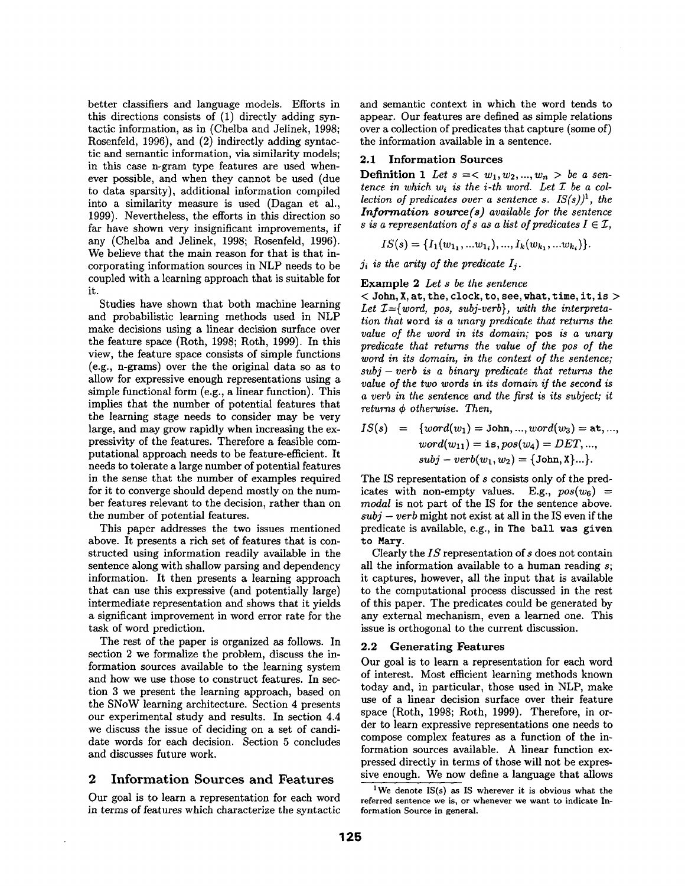better classifiers and language models. Efforts in this directions consists of  $(1)$  directly adding syntactic information, as in (Chelba and Jelinek, 1998; Rosenfeld, 1996), and (2) indirectly adding syntactic and semantic information, via similarity models; in this case n-gram type features are used whenever possible, and when they cannot be used (due to data sparsity), additional information compiled into a similarity measure is used (Dagan et al., 1999). Nevertheless, the efforts in this direction so far have shown very insignificant improvements, if any (Chelba and Jelinek, 1998; Rosenfeld, 1996). We believe that the main reason for that is that incorporating information sources in NLP needs to be coupled with a learning approach that is suitable for it.

Studies have shown that both machine learning and probabilistic learning methods used in NLP make decisions using a linear decision surface over the feature space (Roth, 1998; Roth, 1999). In this view, the feature space consists of simple functions (e.g., n-grams) over the the original data so as to allow for expressive enough representations using a simple functional form (e.g., a linear function). This implies that the number of potential features that the learning stage needs to consider may be very large, and may grow rapidly when increasing the expressivity of the features. Therefore a feasible computational approach needs to be feature-efficient. It needs to tolerate a large number of potential features in the sense that the number of examples required for it to converge should depend mostly on the number features relevant to the decision, rather than on the number of potential features.

This paper addresses the two issues mentioned above. It presents a rich set of features that is constructed using information readily available in the sentence along with shallow parsing and dependency information. It then presents a learning approach that can use this expressive (and potentially large) intermediate representation and shows that it yields a significant improvement in word error rate for the task of word prediction.

The rest of the paper is organized as follows. In section 2 we formalize the problem, discuss the information sources available to the learning system and how we use those to construct features. In section 3 we present the learning approach, based on the SNoW learning architecture. Section 4 presents our experimental study and results. In section 4.4 we discuss the issue of deciding on a set of candidate words for each decision. Section 5 concludes and discusses future work.

## 2 Information Sources and Features

Our goal is to learn a representation for each word in terms of features which characterize the syntactic and semantic context in which the word tends to appear. Our features are defined as simple relations over a collection of predicates that capture (some of) the information available in a sentence.

#### 2.1 Information **Sources**

**Definition 1** Let  $s = \langle w_1, w_2, ..., w_n \rangle$  be a sen*tence in which*  $w_i$  *is the i-th word. Let*  $\mathcal I$  *be a collection of predicates over a sentence s. IS(s)) 1, the Information source(s) available for the sentence s* is a representation of  $s$  as a list of predicates  $I \in \mathcal{I}$ ,

 $IS(s) = \{I_1(w_{1_1},...w_{1_i}),..., I_k(w_{k_1},...w_{k_i})\}.$ 

 $j_i$  is the arity of the predicate  $I_i$ .

## Example 2 *Let s be the sentence*

 $<$  John, X, at, the, clock, to, see, what, time, it, is  $>$ Let  $I = \{word, pos, subj-verb\}, with the interpreta$ *tion that* word *is a unary predicate that returns the value of the word in its domain;* pos *is a unary predicate that returns the value of the pos of the word in its domain, in the context of the sentence; subj- verb is a binary predicate that returns the value of the two words in its domain if the second is a verb in the sentence and the first is its subject; it returns ¢ otherwise. Then,* 

$$
IS(s) = \{word(w_1) = \text{John}, ..., word(w_3) = \text{at}, ..., \}
$$
  

$$
word(w_{11}) = \text{is}, pos(w_4) = DET, ..., \}
$$
  

$$
subj - verb(w_1, w_2) = \{\text{John}, X\}...
$$

The IS representation of s consists only of the predicates with non-empty values. E.g.,  $pos(w_6)$  = *modal* is not part of the IS for the sentence above.  $subj - verb$  might not exist at all in the IS even if the predicate is available, e.g., in The ball was given to Mary.

Clearly the *IS* representation of s does not contain all the information available to a human reading  $s$ ; it captures, however, all the input that is available to the computational process discussed in the rest of this paper. The predicates could be generated by any external mechanism, even a learned one. This issue is orthogonal to the current discussion.

#### **2.2 Generating Features**

Our goal is to learn a representation for each word of interest. Most efficient learning methods known today and, in particular, those used in NLP, make use of a linear decision surface over their feature space (Roth, 1998; Roth, 1999). Therefore, in order to learn expressive representations one needs to compose complex features as a function of the information sources available. A linear function expressed directly in terms of those will not be expressive enough. We now define a language that allows

<sup>1</sup>We denote IS(s) as IS wherever it is obvious what **the**  referred **sentence we is, or whenever we want to indicate Information** Source in general.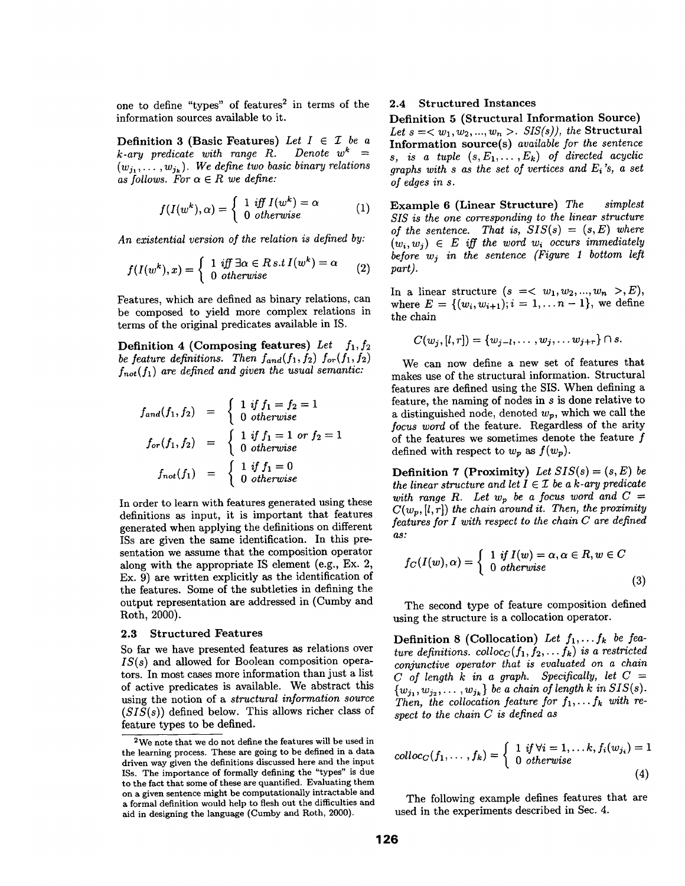one to define "types" of features<sup>2</sup> in terms of the information sources available to it.

**Definition 3 (Basic Features)** Let  $I \in \mathcal{I}$  be a  $k$ -ary predicate with range R. Denote  $w^k$  =  $(w_{j_1}, \ldots, w_{j_k})$ . We define two basic binary relations as follows. For  $\alpha \in R$  we define:

$$
f(I(w^k), \alpha) = \begin{cases} 1 & \text{iff } I(w^k) = \alpha \\ 0 & \text{otherwise} \end{cases}
$$
 (1)

*An existential version of the relation is defined by:* 

$$
f(I(w^k),x) = \begin{cases} 1 & \text{iff } \exists \alpha \in R \, s.t \, I(w^k) = \alpha \\ 0 & \text{otherwise} \end{cases} \tag{2}
$$

Features, which are defined as binary relations, can be composed to yield more complex relations in terms of the original predicates available in IS.

Definition 4 (Composing features) Let  $f_1, f_2$ *be feature definitions. Then*  $f_{and}(f_1, f_2)$   $f_{or}(f_1, f_2)$  $f_{not}(f_1)$  are defined and given the usual semantic:

$$
f_{and}(f_1, f_2) = \begin{cases} 1 & \text{if } f_1 = f_2 = 1 \\ 0 & \text{otherwise} \end{cases}
$$

$$
f_{or}(f_1, f_2) = \begin{cases} 1 & \text{if } f_1 = 1 \text{ or } f_2 = 1 \\ 0 & \text{otherwise} \end{cases}
$$

$$
f_{not}(f_1) = \begin{cases} 1 & \text{if } f_1 = 0 \\ 0 & \text{otherwise} \end{cases}
$$

In order to learn with features generated using these definitions as input, it is important that features generated when applying the definitions on different ISs are given the same identification. In this presentation we assume that the composition operator along with the appropriate IS element (e.g., Ex. 2, Ex. 9) are written explicitly as the identification of the features. Some of the subtleties in defining the output representation are addressed in (Cumby and Roth, 2000).

#### 2.3 Structured Features

So far we have presented features as relations over *IS(s)* and allowed for Boolean composition operators. In most cases more information than just a list of active predicates is available. We abstract this using the notion of a *structural information source (SIS(s))* defined below. This allows richer class of feature types to be defined.

## 2.4 Structured Instances

Definition 5 (Structural Information Source) Let  $s = \langle w_1, w_2, ..., w_n \rangle$ . SIS(s)), the **Structural** Information source(s) *available for the sentence s, is a tuple*  $(s, E_1, \ldots, E_k)$  *of directed acyclic graphs with s as the set of vertices and Ei 's, a set of edges in s.* 

Example 6 (Linear Structure) *The simplest SIS is the one corresponding to the linear structure of the sentence. That is,*  $SIS(s) = (s, E)$  where  $(w_i, w_j) \in E$  *iff the word w<sub>i</sub> occurs immediately before wj in the sentence (Figure 1 bottom left part).* 

In a linear structure  $(s = 0, w_1, w_2, ..., w_n > E),$ where  $E = \{(w_i, w_{i+1}); i = 1, \ldots n-1\}$ , we define the chain

$$
C(w_j, [l, r]) = \{w_{j-l}, \dots, w_j, \dots w_{j+r}\} \cap s.
$$

We can now define a new set of features that makes use of the structural information. Structural features are defined using the SIS. When defining a feature, the naming of nodes in s is done relative to a distinguished node, denoted  $w_p$ , which we call the *focus word* of the feature. Regardless of the arity of the features we sometimes denote the feature  $f$ defined with respect to  $w_p$  as  $f(w_p)$ .

**Definition 7 (Proximity)** Let  $SIS(s) = (s, E)$  be *the linear structure and let*  $I \in \mathcal{I}$  *be a k-ary predicate with range R. Let*  $w_p$  *be a focus word and*  $C =$  $C(w_p, [l, r])$  *the chain around it. Then, the proximity features for I with respect to the chain C are defined as:* 

$$
f_C(I(w), \alpha) = \begin{cases} 1 & \text{if } I(w) = \alpha, \alpha \in R, w \in C \\ 0 & \text{otherwise} \end{cases}
$$
(3)

The second type of feature composition defined using the structure is a collocation operator.

Definition 8 (Collocation) Let  $f_1, \ldots, f_k$  be fea*ture definitions.*  $\text{colloc}_C(f_1, f_2, \ldots, f_k)$  is a restricted *conjunctive operator that is evaluated on a chain C of length k in a graph. Specifically, let C =*   ${w_{j_1}, w_{j_2}, \ldots, w_{j_k}}$  be a chain of length k in SIS(s). Then, the collocation feature for  $f_1, \ldots, f_k$  with re*spect to the chain C is defined as* 

$$
colloc_C(f_1,\ldots,f_k) = \begin{cases} 1 & \text{if } \forall i = 1,\ldots k, f_i(w_{j_i}) = 1 \\ 0 & \text{otherwise} \end{cases}
$$
(4)

The following example defines features that are used in the experiments described in Sec. 4.

<sup>2</sup>We note that we do not define the features will be used in the learning process. These are going to be defined in a data driven way given the definitions discussed here and the input ISs. The importance of formally defining the "types" is due to the fact that some of these are quantified. Evaluating them on a given sentence might be computationally intractable and a formal definition would help to flesh out the difficulties and aid in designing the language (Cumby and Roth, 2000).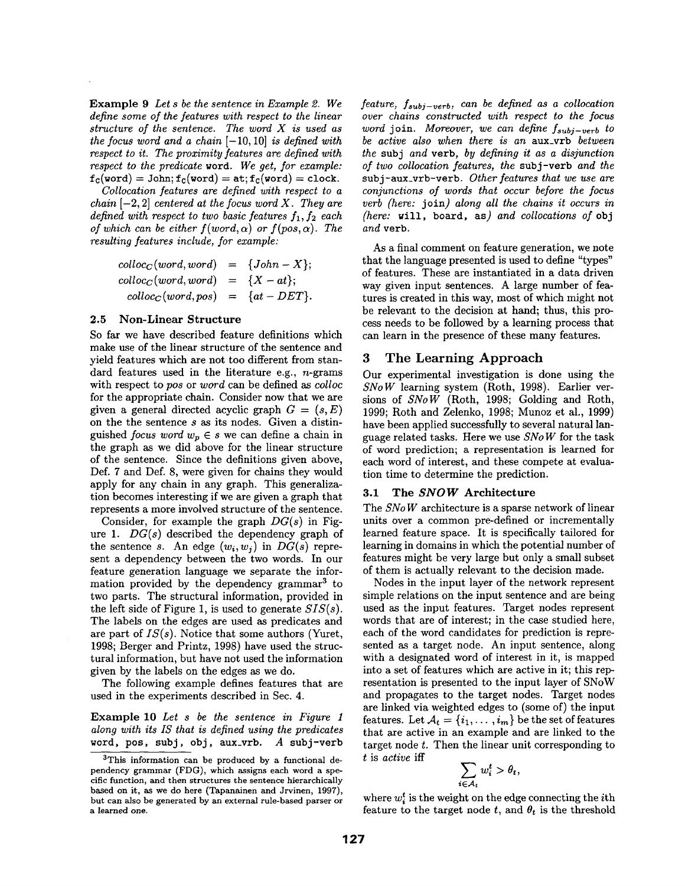Example 9 *Let s be the sentence in Example 2. We define some of the features with respect to the linear structure of the sentence. The word X is used as the focus word and a chain* [-10, 10] *is defined with respect to it. The proximity features are defined with respect to the predicate* word. *We get, for example:*   $f_c(word) = John; f_c(word) = at; f_c(word) = clock.$ 

*Collocation features are defined with respect to a chain*  $[-2, 2]$  *centered at the focus word X. They are defined with respect to two basic features*  $f_1, f_2$  each *of which can be either*  $f(word, \alpha)$  *or*  $f(pos, \alpha)$ *. The resulting features include, for example:* 

$$
colloc_C(word, word) = {John - X};
$$
  
\n
$$
colloc_C(word, word) = {X - at};
$$
  
\n
$$
colloc_C(word, pos) = {at - DET}.
$$

### 2.5 Non-Linear Structure

So far we have described feature definitions which make use of the linear structure of the sentence and yield features which are not too different from standard features used in the literature e.g., n-grams with respect to *pos* or *word* can be defined as *colloc*  for the appropriate chain. Consider now that we are given a general directed acyclic graph  $G = (s, E)$ on the the sentence s as its nodes. Given a distinguished *focus word*  $w_p \in s$  we can define a chain in the graph as we did above for the linear structure of the sentence. Since the definitions given above, Def. 7 and Def. 8, were given for chains they would apply for any chain in any graph. This generalization becomes interesting if we are given a graph that represents a more involved structure of the sentence.

Consider, for example the graph *DG(s)* in Figure 1. *DG(s)* described the dependency graph of the sentence s. An edge  $(w_i, w_j)$  in  $DG(s)$  represent a dependency between the two words. In our feature generation language we separate the information provided by the dependency grammar<sup>3</sup> to two parts. The structural information, provided in the left side of Figure 1, is used to generate *SIS(s).*  The labels on the edges are used as predicates and are part of *IS(s).* Notice that some authors (Yuret, 1998; Berger and Printz, 1998) have used the structural information, but have not used the information given by the labels on the edges as we do.

The following example defines features that are used in the experiments described in Sec. 4.

Example 10 *Let s be the sentence in Figure 1 along with its IS that is defined using the predicates*  word, pos, subj, obj, aux\_vrb.  $A$  subj-verb *feature, fsubj-verb, can be defined as a collocation over chains constructed with respect to the focus word* join. *Moreover, we can define fsubj-verb to be active also when there is an* aux\_vrb *between the* subj *and* verb, *by defining it as a disjunction of two collocation features, the* sub j-verb *and the*  subj-aux\_vrb-verb. *Other features that we use are conjunctions of words that occur before the focus verb (here:* join) *along all the chains it occurs in (here:* will, board, as) *and collocations of* obj *and* verb.

As a final comment on feature generation, we note that the language presented is used to define "types" of features. These are instantiated in a data driven way given input sentences. A large number of features is created in this way, most of which might not be relevant to the decision at hand; thus, this process needs to be followed by a learning process that can learn in the presence of these many features.

## 3 The Learning Approach

Our experimental investigation is done using the *SNo W* learning system (Roth, 1998). Earlier versions of *SNoW* (Roth, 1998; Golding and Roth, 1999; Roth and Zelenko, 1998; Munoz et al., 1999) have been applied successfully to several natural language related tasks. Here we use *SNo W* for the task of word prediction; a representation is learned for each word of interest, and these compete at evaluation time to determine the prediction.

#### 3.1 The *SNOW* Architecture

The *SNo W* architecture is a sparse network of linear units over a common pre-defined or incrementally learned feature space. It is specifically tailored for learning in domains in which the potential number of features might be very large but only a small subset of them is actually relevant to the decision made.

Nodes in the input layer of the network represent simple relations on the input sentence and are being used as the input features. Target nodes represent words that are of interest; in the case studied here, each of the word candidates for prediction is represented as a target node. An input sentence, along with a designated word of interest in it, is mapped into a set of features which are active in it; this representation is presented to the input layer of SNoW and propagates to the target nodes. Target nodes are linked via weighted edges to (some of) the input features. Let  $\mathcal{A}_t = \{i_1, \ldots, i_m\}$  be the set of features that are active in an example and are linked to the target node t. Then the linear unit corresponding to t is *active* iff

$$
\sum_{i\in\mathcal{A}_t} w_i^t > \theta_t,
$$

where  $w_i^t$  is the weight on the edge connecting the *i*th feature to the target node t, and  $\theta_t$  is the threshold

<sup>&</sup>lt;sup>3</sup>This information can be produced by a functional dependency grammar (FDG), which assigns each word a specific function, and then structures the sentence hierarchically based on it, as we do here (Tapanainen and Jrvinen, 1997), but can also be generated by an external rule-based parser or a learned one.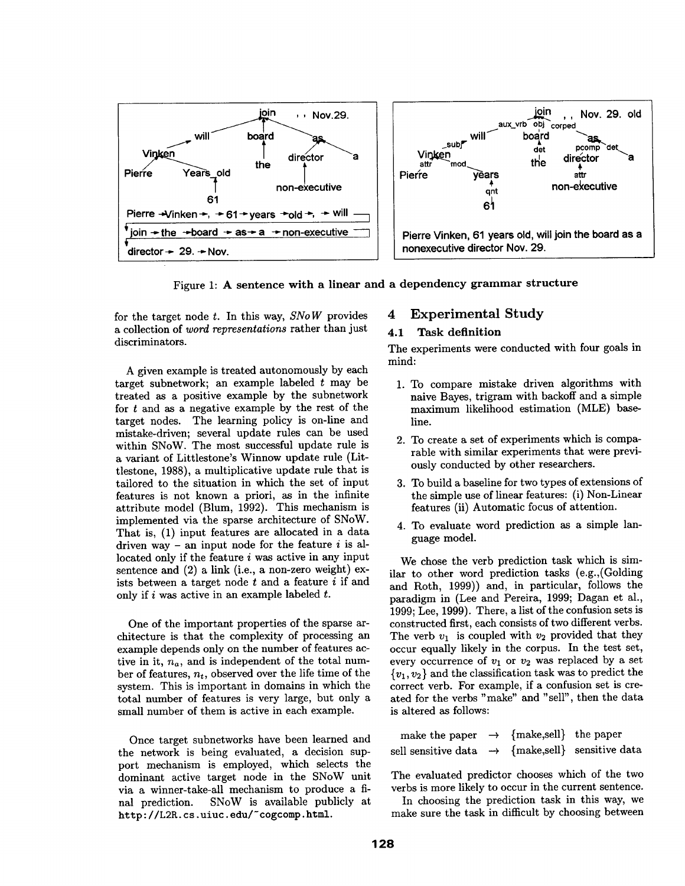

Figure 1: A sentence with a **linear and a dependency grammar structure** 

for the target node t. In this way, *SNo W* provides a collection of *word representations* rather than just discriminators.

A given example is treated autonomously by each target subnetwork; an example labeled t may be treated as a positive example by the subnetwork for  $t$  and as a negative example by the rest of the target nodes. The learning policy is on-line and mistake-driven; several update rules can be used within SNoW. The most successful update rule is a variant of Littlestone's Winnow update rule (Littlestone, 1988), a multiplicative update rule that is tailored to the situation in which the set of input features is not known a priori, as in the infinite attribute model (Blum, 1992). This mechanism is implemented via the sparse architecture of SNOW. That is, (1) input features are allocated in a data driven way - an input node for the feature  $i$  is allocated only if the feature  $i$  was active in any input sentence and (2) a link (i.e., a non-zero weight) exists between a target node  $t$  and a feature  $i$  if and only if i was active in an example labeled  $t$ .

One of the important properties of the sparse architecture is that the complexity of processing an example depends only on the number of features active in it,  $n_a$ , and is independent of the total number of features, *nt,* observed over the life time of the system. This is important in domains in which the total number of features is very large, but only a small number of them is active in each example.

Once target subnetworks have been learned and the network is being evaluated, a decision support mechanism is employed, which selects the dominant active target node in the SNoW unit via a winner-take-all mechanism to produce a final prediction. SNoW is available publicly at http://L2R.cs.uiuc.edu/~cogcomp.html.

## 4 Experimental Study

## **4.1 Task definition**

The experiments were conducted with four goals in mind:

- 1. To compare mistake driven algorithms with naive Bayes, trigram with backoff and a simple maximum likelihood estimation (MLE) baseline.
- 2. To create a set of experiments which is comparable with similar experiments that were previously conducted by other researchers.
- 3. To build a baseline for two types of extensions of the simple use of linear features: (i) Non-Linear features (ii) Automatic focus of attention.
- 4. To evaluate word prediction as a simple language model.

We chose the verb prediction task which is similar to other word prediction tasks (e.g.,(Golding and Roth, 1999)) and, in particular, follows the paradigm in (Lee and Pereira, 1999; Dagan et al., 1999; Lee, 1999). There, a list of the confusion sets is constructed first, each consists of two different verbs. The verb  $v_1$  is coupled with  $v_2$  provided that they occur equally likely in the corpus. In the test set, every occurrence of  $v_1$  or  $v_2$  was replaced by a set  ${v_1, v_2}$  and the classification task was to predict the correct verb. For example, if a confusion set is created for the verbs "make" and "sell", then the data is altered as follows:

| make the paper $\rightarrow$ {make,sell} the paper           |  |  |
|--------------------------------------------------------------|--|--|
| sell sensitive data $\rightarrow$ {make,sell} sensitive data |  |  |

The evaluated predictor chooses which of the two verbs is more likely to occur in the current sentence.

In choosing the prediction task in this way, we make sure the task in difficult by choosing between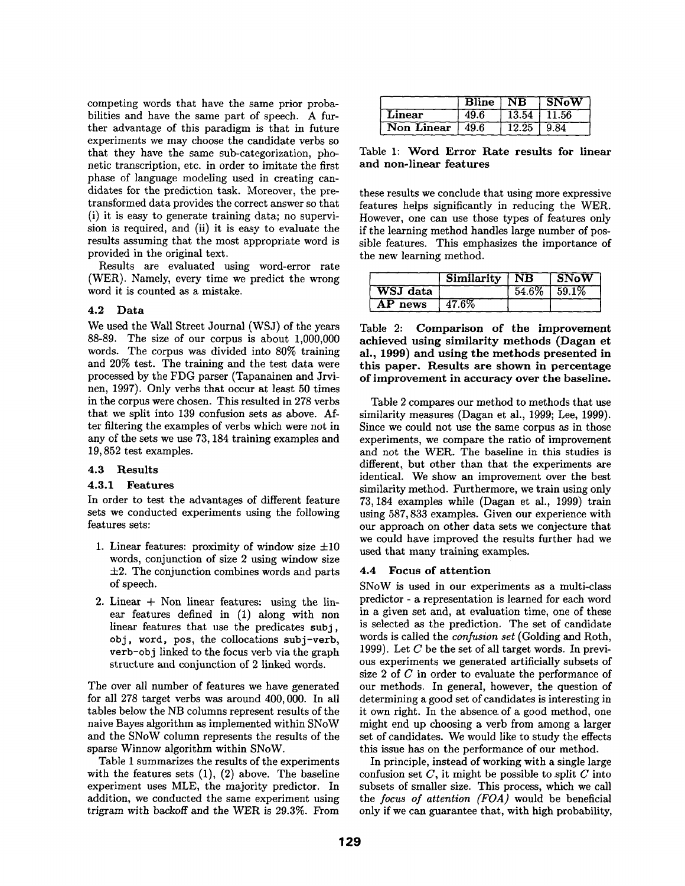competing words that have the same prior probabilities and have the same part of speech. A further advantage of this paradigm is that in future experiments we may choose the candidate verbs so that they have the same sub-categorization, phonetic transcription, etc. in order to imitate the first phase of language modeling used in creating candidates for the prediction task. Moreover, the pretransformed data provides the correct answer so that (i) it is easy to generate training data; no supervision is required, and (ii) it is easy to evaluate the results assuming that the most appropriate word is provided in the original text.

Results are evaluated using word-error rate (WER). Namely, every time we predict the wrong word it is counted as a mistake.

## 4.2 **Data**

We used the Wall Street Journal (WSJ) of the years 88-89. The size of our corpus is about 1,000,000 words. The corpus was divided into 80% training and 20% test. The training and the test data were processed by the FDG parser (Tapanainen and Jrvinen, 1997). Only verbs that occur at least 50 times in the corpus were chosen. This resulted in 278 verbs that we split into 139 confusion sets as above. After filtering the examples of verbs which were not in any of the sets we use 73, 184 training examples and 19,852 test examples.

## 4.3 **Results**

## 4.3.1 **Features**

In order to test the advantages of different feature sets we conducted experiments using the following features sets:

- 1. Linear features: proximity of window size  $\pm 10$ words, conjunction of size 2 using window size  $\pm 2$ . The conjunction combines words and parts of speech.
- 2. Linear  $+$  Non linear features: using the linear features defined in (1) along with non linear features that use the predicates subj, obj, word, pos, the collocations subj-verb, verb-obj linked to the focus verb via the graph structure and conjunction of 2 linked words.

The over all number of features we have generated for all 278 target verbs was around 400,000. In all tables below the NB columns represent results of the naive Bayes algorithm as implemented within SNoW and the SNoW column represents the results of the sparse Winnow algorithm within SNoW.

Table 1 summarizes the results of the experiments with the features sets  $(1)$ ,  $(2)$  above. The baseline experiment uses MLE, the majority predictor. In addition, we conducted the same experiment using trigram with backoff and the WER is 29.3%. From

|                     |      |               | Bline NB SNoW |
|---------------------|------|---------------|---------------|
| Linear              | 49.6 | $13.54$ 11.56 |               |
| Non Linear $ 49.6 $ |      | 12.25         | 9.84          |

Table 1: **Word Error Rate results for linear and non-linear features** 

these results we conclude that using more expressive features helps significantly in reducing the WER. However, one can use those types of features only if the learning method handles large number of possible features. This emphasizes the importance of the new learning method.

|          | Similarity   NB | $^-$ 1 SNoW       |
|----------|-----------------|-------------------|
| WSJ data |                 | $54.6\%$   59.1\% |
| AP news  | 47.6%           |                   |

Table 2: Comparison of **the improvement achieved using similarity methods (Dagan et al., 1999) and using the methods presented in this paper. Results are shown in percentage of improvement in accuracy over the baseline.** 

Table 2 compares our method to methods that use similarity measures (Dagan et al., 1999; Lee, 1999). Since we could not use the same corpus as in those experiments, we compare the ratio of improvement and not the WER. The baseline in this studies is different, but other than that the experiments are identical. We show an improvement over the best similarity method. Furthermore, we train using only 73,184 examples while (Dagan et al., 1999) train using 587, 833 examples. Given our experience with our approach on other data sets we conjecture that we could have improved the results further had we used that many training examples.

## 4.4 Focus of **attention**

SNoW is used in our experiments as a multi-class predictor - a representation is learned for each word in a given set and, at evaluation time, one of these is selected as the prediction. The set of candidate words is called the *confusion set* (Golding and Roth, 1999). Let  $C$  be the set of all target words. In previous experiments we generated artificially subsets of size 2 of C in order to evaluate the performance of our methods. In general, however, the question of determining a good set of candidates is interesting in it own right. In the absence, of a good method, one might end up choosing a verb from among a larger set of candidates. We would like to study the effects this issue has on the performance of our method.

In principle, instead of working with a single large confusion set  $C$ , it might be possible to split  $C$  into subsets of smaller size. This process, which we call the *focus of attention (FOA)* would be beneficial only if we can guarantee that, with high probability,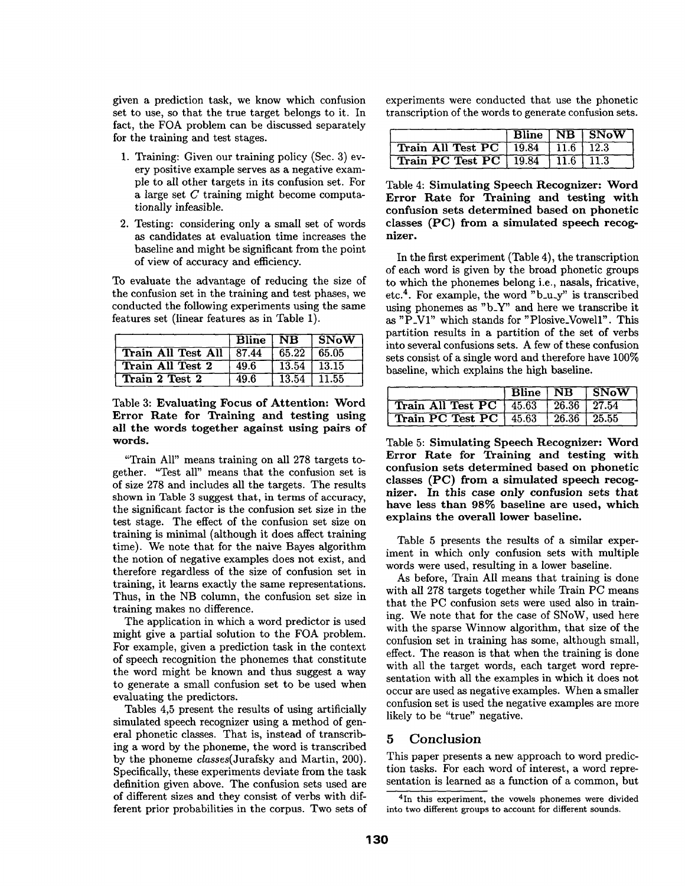given a prediction task, we know which confusion set to use, so that the true target belongs to it. In fact, the FOA problem can be discussed separately for the training and test stages.

- 1. Training: Given our training policy (Sec. 3) every positive example serves as a negative example to all other targets in its confusion set. For a large set C training might become computationally infeasible.
- 2. Testing: considering only a small set of words as candidates at evaluation time increases the baseline and might be significant from the point of view of accuracy and efficiency.

To evaluate the advantage of reducing the size of the confusion set in the training and test phases, we conducted the following experiments using the same features set (linear features as in Table 1).

|                            | Bline NB |                   | ∣ SNoW |
|----------------------------|----------|-------------------|--------|
| Train All Test All   87.44 |          | $65.22 \pm 65.05$ |        |
| Train All Test 2           | 49.6     | $13.54$   13.15   |        |
| Train 2 Test 2             | 49.6     | 13.54             | 11.55  |

Table 3: Evaluating Focus of Attention: Word Error Rate for Training and **testing using**  all the words together against using pairs of words.

"Train All" means training on all 278 targets together. "Test all" means that the confusion set is of size 278 and includes all the targets. The results shown in Table 3 suggest that, in terms of accuracy, the significant factor is the confusion set size in the test stage. The effect of the confusion set size on training is minimal (although it does affect training time). We note that for the naive Bayes algorithm the notion of negative examples does not exist, and therefore regardless of the size of confusion set in training, it learns exactly the same representations. Thus, in the NB column, the confusion set size in training makes no difference.

The application in which a word predictor is used might give a partial solution to the FOA problem. For example, given a prediction task in the context of speech recognition the phonemes that constitute the word might be known and thus suggest a way to generate a small confusion set to be used when evaluating the predictors.

Tables 4,5 present the results of using artificially simulated speech recognizer using a method of general phonetic classes. That is, instead of transcribing a word by the phoneme, the word is transcribed by the phoneme *classes(Jurafsky* and Martin, 200). Specifically, these experiments deviate from the task definition given above. The confusion sets used are of different sizes and they consist of verbs with different prior probabilities in the corpus. Two sets of experiments were conducted that use the phonetic transcription of the words to generate confusion sets.

|                                                            |  | $Bline \top NB$ $SNow$ |
|------------------------------------------------------------|--|------------------------|
| <b>Train All Test PC</b> $\lceil 19.84 \rceil$ 11.6   12.3 |  |                        |
| <b>Train PC Test PC</b>   19.84   11.6   11.3              |  |                        |

Table 4: Simulating Speech Recognizer: Word Error Rate for Training **and testing** with confusion sets determined based on phonetic classes (PC) from a simulated speech recognizer.

In the first experiment (Table 4), the transcription of each word is given by the broad phonetic groups to which the phonemes belong i.e., nasals, fricative, etc.<sup>4</sup>. For example, the word  $"b_u_y"$  is transcribed using phonemes as "b\_Y" and here we transcribe it as "P\_VI" which stands for "Plosive\_Vowell". This partition results in a partition of the set of verbs into several confusions sets. A few of these confusion sets consist of a single word and therefore have 100% baseline, which explains the high baseline.

|                                           |  | Bline NB SNoW |
|-------------------------------------------|--|---------------|
| Train All Test PC   45.63   26.36   27.54 |  |               |
| Train PC Test PC   45.63   26.36   25.55  |  |               |

Table 5: Simulating Speech Recognizer: Word Error Rate for Training **and testing** with confusion sets determined based on phonetic classes (PC) from a simulated speech recognizer. In this case only confusion sets **that**  have less than 98% baseline are used, which explains the overall lower baseline.

Table 5 presents the results of a similar experiment in which only confusion sets with multiple words were used, resulting in a lower baseline.

As before, Train All means that training is done with all 278 targets together while Train PC means that the PC confusion sets were used also in training. We note that for the case of SNOW, used here with the sparse Winnow algorithm, that size of the confusion set in training has some, although small, effect. The reason is that when the training is done with all the target words, each target word representation with all the examples in which it does not occur are used as negative examples. When a smaller confusion set is used the negative examples are more likely to be "true" negative.

## 5 Conclusion

This paper presents a new approach to word prediction tasks. For each word of interest, a word representation is learned as a function of a common, but

<sup>4</sup>In this experiment, the vowels phonemes were divided into two different groups to account for different sounds.